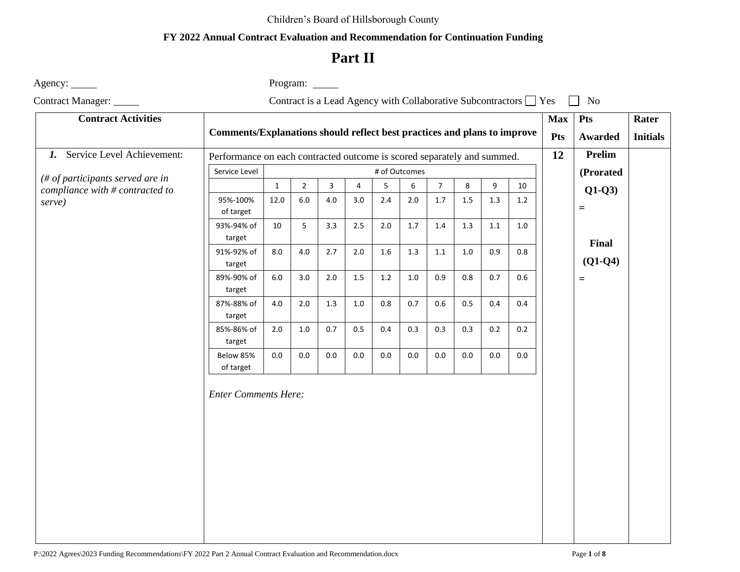#### Children's Board of Hillsborough County

### **FY 2022 Annual Contract Evaluation and Recommendation for Continuation Funding**

# **Part II**

Agency: <u>example</u> and the example of Program: <u>example</u> and Program: <u>example of Program:</u>

Contract Manager: Contract is a Lead Agency with Collaborative Subcontractors  $\Box$  Yes  $\Box$  No

| <b>Contract Activities</b>       |                                                                          |                                                                         |                |         |                |         |         |                |         |         | <b>Max</b> | Pts | Rater     |                 |
|----------------------------------|--------------------------------------------------------------------------|-------------------------------------------------------------------------|----------------|---------|----------------|---------|---------|----------------|---------|---------|------------|-----|-----------|-----------------|
|                                  | Comments/Explanations should reflect best practices and plans to improve |                                                                         |                |         |                |         |         |                |         |         |            | Pts | Awarded   | <b>Initials</b> |
| 1. Service Level Achievement:    |                                                                          | Performance on each contracted outcome is scored separately and summed. |                |         |                |         |         |                |         |         |            | 12  | Prelim    |                 |
| (# of participants served are in | Service Level<br># of Outcomes                                           |                                                                         |                |         |                |         |         |                |         |         |            |     | (Prorated |                 |
| compliance with # contracted to  |                                                                          | $\mathbf{1}$                                                            | $\overline{2}$ | 3       | $\overline{4}$ | 5       | 6       | $\overline{7}$ | 8       | 9       | 10         |     | $Q1-Q3$   |                 |
| serve)                           | 95%-100%<br>of target                                                    | 12.0                                                                    | $6.0\,$        | $4.0\,$ | 3.0            | 2.4     | 2.0     | 1.7            | $1.5\,$ | 1.3     | $1.2\,$    |     | $\equiv$  |                 |
|                                  | 93%-94% of<br>target                                                     | 10                                                                      | 5 <sub>1</sub> | 3.3     | 2.5            | $2.0\,$ | $1.7$   | $1.4$          | $1.3\,$ | $1.1\,$ | $1.0\,$    |     | Final     |                 |
|                                  | 91%-92% of<br>target                                                     | 8.0                                                                     | $4.0\,$        | 2.7     | $2.0$          | 1.6     | 1.3     | $1.1\,$        | 1.0     | 0.9     | 0.8        |     | $(Q1-Q4)$ |                 |
|                                  | 89%-90% of<br>target                                                     | $6.0\,$                                                                 | 3.0            | $2.0$   | $1.5\,$        | $1.2\,$ | $1.0\,$ | 0.9            | 0.8     | 0.7     | 0.6        | $=$ |           |                 |
|                                  | 87%-88% of<br>target                                                     | 4.0                                                                     | $2.0$          | 1.3     | $1.0\,$        | $0.8\,$ | 0.7     | 0.6            | 0.5     | 0.4     | 0.4        |     |           |                 |
|                                  | 85%-86% of<br>target                                                     | $2.0\,$                                                                 | $1.0\,$        | 0.7     | 0.5            | 0.4     | 0.3     | 0.3            | 0.3     | 0.2     | 0.2        |     |           |                 |
|                                  | Below 85%<br>of target                                                   | 0.0                                                                     | $0.0\,$        | $0.0\,$ | $0.0\,$        | $0.0\,$ | $0.0\,$ | $0.0\,$        | 0.0     | 0.0     | 0.0        |     |           |                 |
|                                  | <b>Enter Comments Here:</b>                                              |                                                                         |                |         |                |         |         |                |         |         |            |     |           |                 |

P:\2022 Agrees\2023 Funding Recommendations\FY 2022 Part 2 Annual Contract Evaluation and Recommendation.docx Page **1** of **8**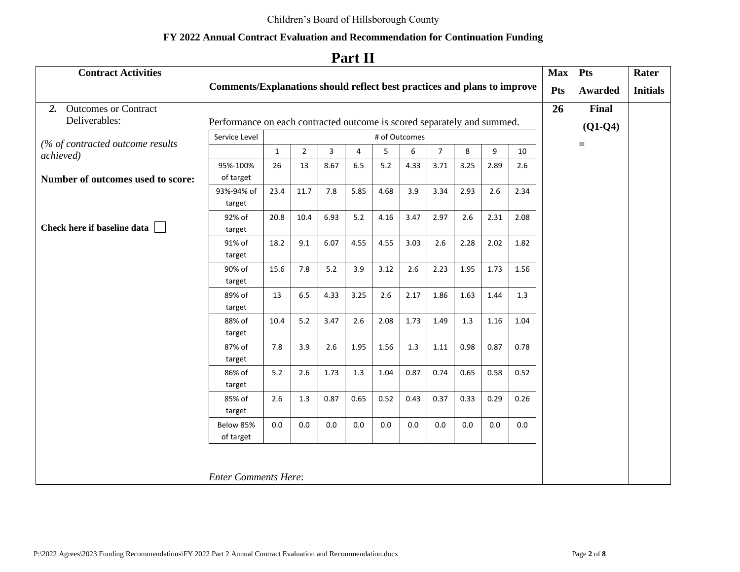# **Part II**

| <b>Contract Activities</b>                    |                                                                          |              |                |         |         |         |         |                |         |         |         | <b>Max</b> | Pts            | Rater           |
|-----------------------------------------------|--------------------------------------------------------------------------|--------------|----------------|---------|---------|---------|---------|----------------|---------|---------|---------|------------|----------------|-----------------|
|                                               | Comments/Explanations should reflect best practices and plans to improve |              |                |         |         |         |         |                |         |         |         | Pts        | <b>Awarded</b> | <b>Initials</b> |
| 2. Outcomes or Contract                       |                                                                          |              |                |         |         |         |         |                |         |         |         | 26         | Final          |                 |
| Deliverables:                                 | Performance on each contracted outcome is scored separately and summed.  |              |                |         |         |         |         |                |         |         |         |            | $(Q1-Q4)$      |                 |
|                                               | Service Level<br># of Outcomes                                           |              |                |         |         |         |         |                |         |         |         |            |                |                 |
| (% of contracted outcome results<br>achieved) |                                                                          | $\mathbf{1}$ | $\overline{2}$ | 3       | 4       | 5       | 6       | $\overline{7}$ | 8       | 9       | 10      |            | $\equiv$       |                 |
|                                               | 95%-100%                                                                 | 26           | 13             | 8.67    | 6.5     | 5.2     | 4.33    | 3.71           | 3.25    | 2.89    | 2.6     |            |                |                 |
| Number of outcomes used to score:             | of target                                                                |              |                |         |         |         |         |                |         |         |         |            |                |                 |
|                                               | 93%-94% of                                                               | 23.4         | 11.7           | 7.8     | 5.85    | 4.68    | 3.9     | 3.34           | 2.93    | 2.6     | 2.34    |            |                |                 |
|                                               | target                                                                   |              |                |         |         |         |         |                |         |         |         |            |                |                 |
|                                               | 92% of                                                                   | 20.8         | 10.4           | 6.93    | 5.2     | 4.16    | 3.47    | 2.97           | 2.6     | 2.31    | 2.08    |            |                |                 |
| Check here if baseline data                   | target                                                                   |              |                |         |         |         |         |                |         |         |         |            |                |                 |
|                                               | 91% of                                                                   | 18.2         | 9.1            | 6.07    | 4.55    | 4.55    | 3.03    | 2.6            | 2.28    | 2.02    | 1.82    |            |                |                 |
|                                               | target                                                                   |              |                |         |         |         |         |                |         |         |         |            |                |                 |
|                                               | 90% of<br>target                                                         | 15.6         | 7.8            | 5.2     | 3.9     | 3.12    | 2.6     | 2.23           | 1.95    | 1.73    | 1.56    |            |                |                 |
|                                               | 89% of                                                                   | 13           | 6.5            | 4.33    | 3.25    | 2.6     | 2.17    | 1.86           | 1.63    | 1.44    | 1.3     |            |                |                 |
|                                               | target                                                                   |              |                |         |         |         |         |                |         |         |         |            |                |                 |
|                                               | 88% of                                                                   | 10.4         | $5.2$          | 3.47    | 2.6     | 2.08    | 1.73    | 1.49           | 1.3     | 1.16    | 1.04    |            |                |                 |
|                                               | target                                                                   |              |                |         |         |         |         |                |         |         |         |            |                |                 |
|                                               | 87% of                                                                   | 7.8          | 3.9            | 2.6     | 1.95    | 1.56    | 1.3     | 1.11           | 0.98    | 0.87    | 0.78    |            |                |                 |
|                                               | target                                                                   |              |                |         |         |         |         |                |         |         |         |            |                |                 |
|                                               | 86% of                                                                   | $5.2$        | 2.6            | 1.73    | $1.3$   | 1.04    | 0.87    | 0.74           | 0.65    | 0.58    | 0.52    |            |                |                 |
|                                               | target                                                                   |              |                |         |         |         |         |                |         |         |         |            |                |                 |
|                                               | 85% of                                                                   | 2.6          | 1.3            | 0.87    | 0.65    | 0.52    | 0.43    | 0.37           | 0.33    | 0.29    | 0.26    |            |                |                 |
|                                               | target                                                                   |              |                |         |         |         |         |                |         |         |         |            |                |                 |
|                                               | Below 85%                                                                | 0.0          | $0.0\,$        | $0.0\,$ | $0.0\,$ | $0.0\,$ | $0.0\,$ | $0.0\,$        | $0.0\,$ | $0.0\,$ | $0.0\,$ |            |                |                 |
|                                               | of target                                                                |              |                |         |         |         |         |                |         |         |         |            |                |                 |
|                                               |                                                                          |              |                |         |         |         |         |                |         |         |         |            |                |                 |
|                                               |                                                                          |              |                |         |         |         |         |                |         |         |         |            |                |                 |
|                                               | <b>Enter Comments Here:</b>                                              |              |                |         |         |         |         |                |         |         |         |            |                |                 |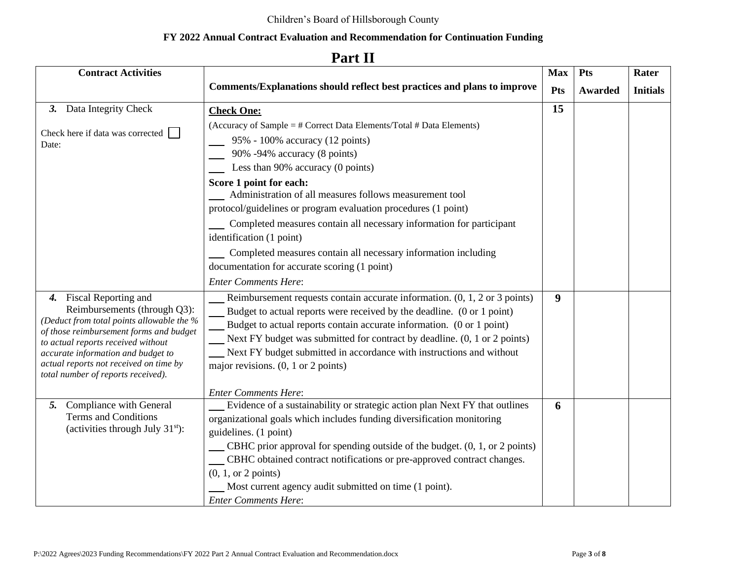#### **Contract Activities Max Pts Rater Comments/Explanations should reflect best practices and plans to improve Pts Awarded Initials** *3.* Data Integrity Check **15 Check One:** (Accuracy of Sample = # Correct Data Elements/Total # Data Elements) Check here if data was corrected 95% - 100% accuracy (12 points) Date: 90% -94% accuracy (8 points) Less than 90% accuracy (0 points) **Score 1 point for each:** Administration of all measures follows measurement tool protocol/guidelines or program evaluation procedures (1 point) Completed measures contain all necessary information for participant identification (1 point) **Completed measures contain all necessary information including** documentation for accurate scoring (1 point) *Enter Comments Here*: *4.* Fiscal Reporting and Reimbursement requests contain accurate information. (0, 1, 2 or 3 points) **9** Reimbursements (through Q3): Budget to actual reports were received by the deadline. (0 or 1 point) *(Deduct from total points allowable the %*  Budget to actual reports contain accurate information. (0 or 1 point) *of those reimbursement forms and budget*  Next FY budget was submitted for contract by deadline. (0, 1 or 2 points)  $\overline{\phantom{a}}$ *to actual reports received without*  Next FY budget submitted in accordance with instructions and without *accurate information and budget to actual reports not received on time by*  major revisions. (0, 1 or 2 points) *total number of reports received). Enter Comments Here*: Evidence of a sustainability or strategic action plan Next FY that outlines *5.* Compliance with General **6**Terms and Conditions organizational goals which includes funding diversification monitoring (activities through July  $31<sup>st</sup>$ ): guidelines. (1 point) CBHC prior approval for spending outside of the budget. (0, 1, or 2 points) CBHC obtained contract notifications or pre-approved contract changes. (0, 1, or 2 points) Most current agency audit submitted on time (1 point). *Enter Comments Here*:

### **Part II**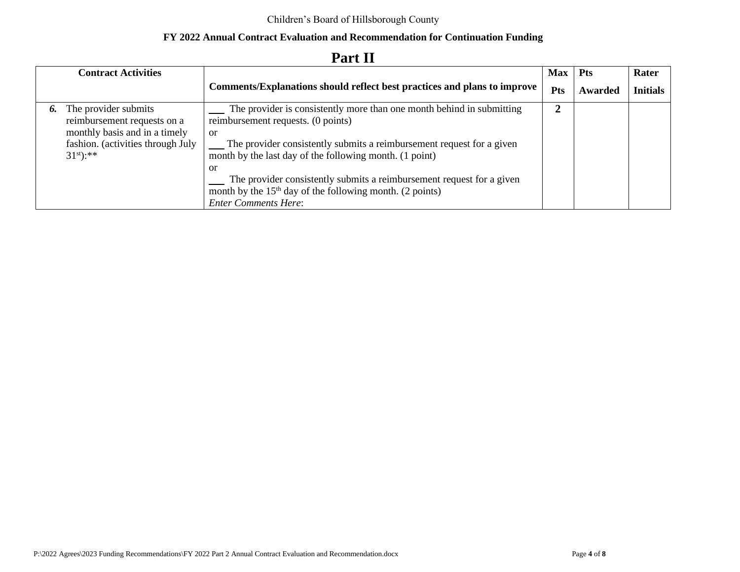|    | <b>Contract Activities</b>                                                           |                                                                                                                                                                           | <b>Max</b> | <b>Pts</b> | Rater           |
|----|--------------------------------------------------------------------------------------|---------------------------------------------------------------------------------------------------------------------------------------------------------------------------|------------|------------|-----------------|
|    |                                                                                      | <b>Comments/Explanations should reflect best practices and plans to improve</b>                                                                                           | Pts        | Awarded    | <b>Initials</b> |
| 6. | The provider submits<br>reimbursement requests on a<br>monthly basis and in a timely | The provider is consistently more than one month behind in submitting<br>reimbursement requests. (0 points)<br>or                                                         |            |            |                 |
|    | fashion. (activities through July<br>$31^{st}$ :**                                   | The provider consistently submits a reimbursement request for a given<br>month by the last day of the following month. (1 point)                                          |            |            |                 |
|    |                                                                                      | -or<br>The provider consistently submits a reimbursement request for a given<br>month by the $15th$ day of the following month. (2 points)<br><b>Enter Comments Here:</b> |            |            |                 |

# **Part II**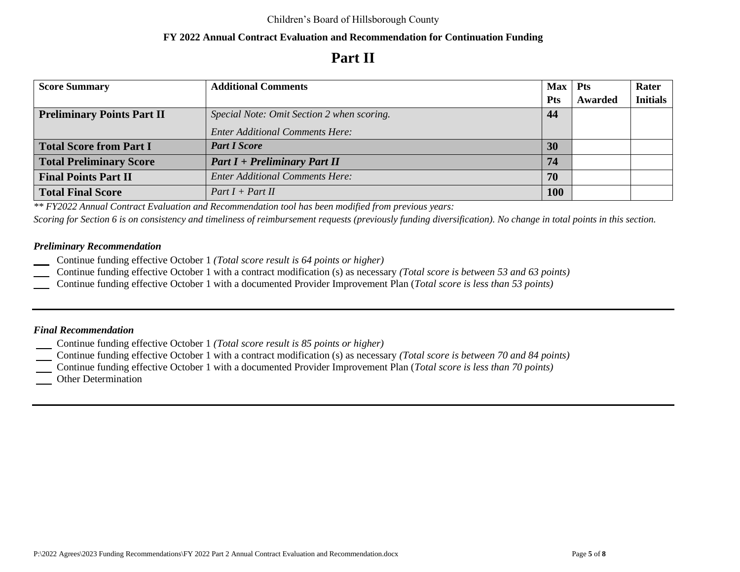# **Part II**

| <b>Score Summary</b>              | <b>Additional Comments</b>                 | $Max$ Pts  |         | Rater           |
|-----------------------------------|--------------------------------------------|------------|---------|-----------------|
|                                   |                                            | <b>Pts</b> | Awarded | <b>Initials</b> |
| <b>Preliminary Points Part II</b> | Special Note: Omit Section 2 when scoring. | 44         |         |                 |
|                                   | <b>Enter Additional Comments Here:</b>     |            |         |                 |
| <b>Total Score from Part I</b>    | <b>Part I Score</b>                        | 30         |         |                 |
| <b>Total Preliminary Score</b>    | $Part I + Preliminary Part II$             | 74         |         |                 |
| <b>Final Points Part II</b>       | <b>Enter Additional Comments Here:</b>     | 70         |         |                 |
| <b>Total Final Score</b>          | $Part I + Part II$                         | <b>100</b> |         |                 |

*\*\* FY2022 Annual Contract Evaluation and Recommendation tool has been modified from previous years:*

*Scoring for Section 6 is on consistency and timeliness of reimbursement requests (previously funding diversification). No change in total points in this section.*

### *Preliminary Recommendation*

- Continue funding effective October 1 *(Total score result is 64 points or higher)*
- Continue funding effective October 1 with a contract modification (s) as necessary *(Total score is between 53 and 63 points)*
- Continue funding effective October 1 with a documented Provider Improvement Plan (*Total score is less than 53 points)*

### *Final Recommendation*

- Continue funding effective October 1 *(Total score result is 85 points or higher)*
- Continue funding effective October 1 with a contract modification (s) as necessary *(Total score is between 70 and 84 points)*
- Continue funding effective October 1 with a documented Provider Improvement Plan (*Total score is less than 70 points)*
- Other Determination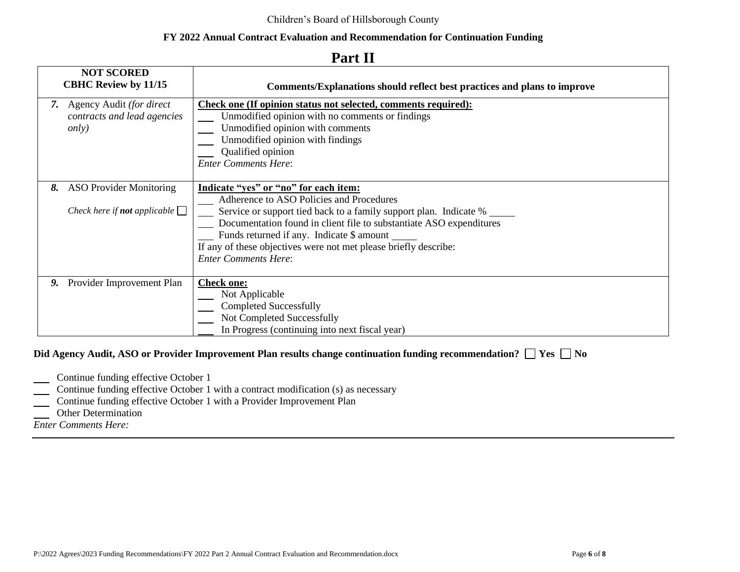|    | <b>NOT SCORED</b><br><b>CBHC Review by 11/15</b>                             | Comments/Explanations should reflect best practices and plans to improve                                                                                                                                                                                                                                                                                                      |  |  |  |  |  |
|----|------------------------------------------------------------------------------|-------------------------------------------------------------------------------------------------------------------------------------------------------------------------------------------------------------------------------------------------------------------------------------------------------------------------------------------------------------------------------|--|--|--|--|--|
|    | 7. Agency Audit (for direct<br>contracts and lead agencies<br><i>only</i> )  | <b>Check one (If opinion status not selected, comments required):</b><br>Unmodified opinion with no comments or findings<br>Unmodified opinion with comments<br>Unmodified opinion with findings<br>Qualified opinion<br><b>Enter Comments Here:</b>                                                                                                                          |  |  |  |  |  |
| 8. | <b>ASO Provider Monitoring</b><br>Check here if <b>not</b> applicable $\Box$ | Indicate "yes" or "no" for each item:<br>Adherence to ASO Policies and Procedures<br>Service or support tied back to a family support plan. Indicate %<br>Documentation found in client file to substantiate ASO expenditures<br>Funds returned if any. Indicate \$ amount<br>If any of these objectives were not met please briefly describe:<br><b>Enter Comments Here:</b> |  |  |  |  |  |
| 9. | Provider Improvement Plan                                                    | <b>Check one:</b><br>Not Applicable<br><b>Completed Successfully</b><br>Not Completed Successfully<br>In Progress (continuing into next fiscal year)                                                                                                                                                                                                                          |  |  |  |  |  |

### **Part II**

#### **Did Agency Audit, ASO** or Provider Improvement Plan results change continuation funding recommendation? □ Yes □ No

- **Continue funding effective October 1**
- **Continue funding effective October 1 with a contract modification (s) as necessary**
- Continue funding effective October 1 with a Provider Improvement Plan
- **I** Other Determination

*Enter Comments Here:*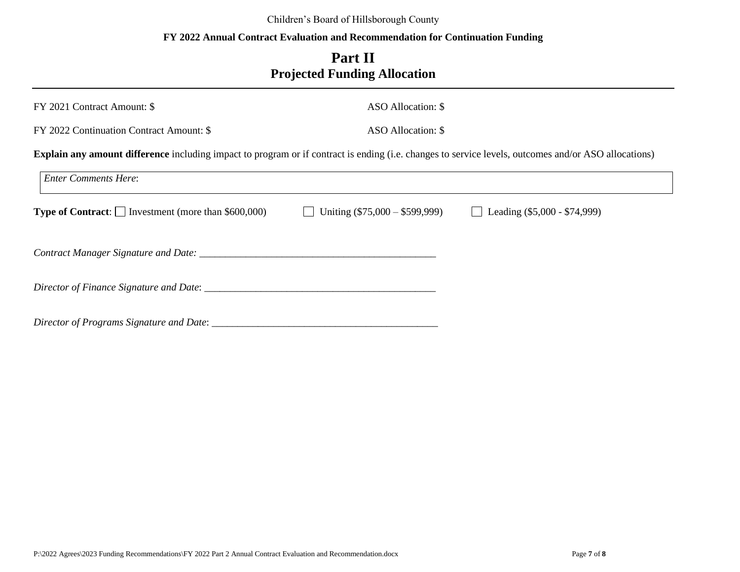#### Children's Board of Hillsborough County

### **FY 2022 Annual Contract Evaluation and Recommendation for Continuation Funding**

## **Part II Projected Funding Allocation**

| FY 2021 Contract Amount: \$                                                                                                                                 | ASO Allocation: \$               |                                |  |  |  |  |  |  |  |
|-------------------------------------------------------------------------------------------------------------------------------------------------------------|----------------------------------|--------------------------------|--|--|--|--|--|--|--|
| FY 2022 Continuation Contract Amount: \$                                                                                                                    | ASO Allocation: \$               |                                |  |  |  |  |  |  |  |
| <b>Explain any amount difference</b> including impact to program or if contract is ending (i.e. changes to service levels, outcomes and/or ASO allocations) |                                  |                                |  |  |  |  |  |  |  |
| <b>Enter Comments Here:</b>                                                                                                                                 |                                  |                                |  |  |  |  |  |  |  |
| <b>Type of Contract:</b> $\Box$ Investment (more than \$600,000)                                                                                            | Uniting $(\$75,000 - \$599,999)$ | Leading $(\$5,000 - \$74,999)$ |  |  |  |  |  |  |  |
|                                                                                                                                                             |                                  |                                |  |  |  |  |  |  |  |
|                                                                                                                                                             |                                  |                                |  |  |  |  |  |  |  |
| Director of Programs Signature and Date: ____________                                                                                                       |                                  |                                |  |  |  |  |  |  |  |